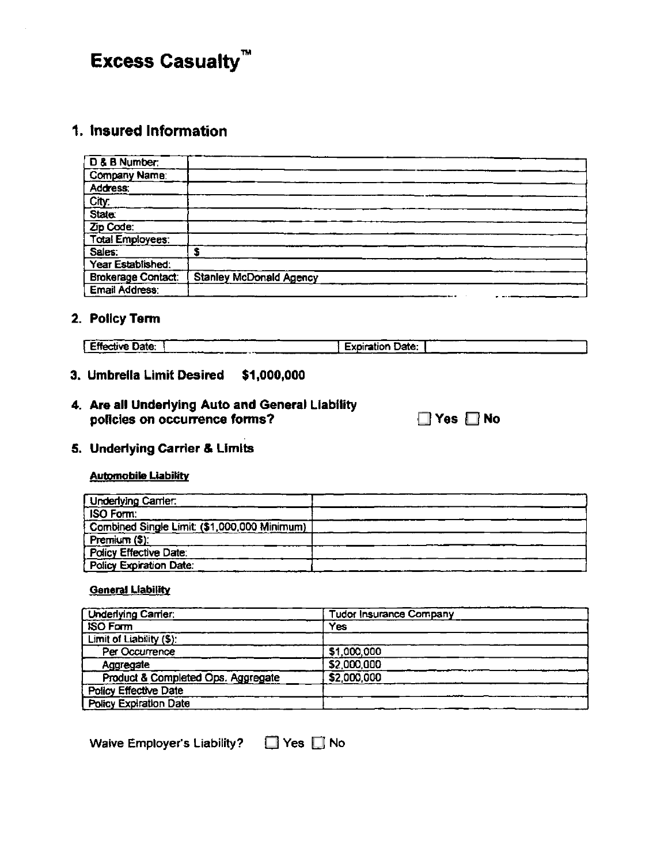# **Excess Casualty™**

# 1. Insured Information

| D & B Number              |                                |
|---------------------------|--------------------------------|
| <b>Company Name:</b>      |                                |
| Address.                  |                                |
| <u>City</u>               |                                |
| State:                    |                                |
| Zip Code:                 |                                |
| <b>Total Employees.</b>   |                                |
| Sales:                    |                                |
| Year Established:         |                                |
| <b>Brokerage Contact:</b> | <b>Stanley McDonald Agency</b> |
| Email Address:            |                                |

## 2. Policy Term

|                        | --                      |
|------------------------|-------------------------|
| <b>Effective Date:</b> | <b>Expiration Date:</b> |
| __                     | .                       |

# 3. Umbrella Limit Desired \$1,000,000

# 4. Are all Underlying Auto and General Liability policies on occurrence forms?

| ∃ Yes |  | No |
|-------|--|----|
|-------|--|----|

## 5. Underlying Carrier & Limits

#### **Automobile Liability**

| <b>Underlying Camer:</b>                    |  |
|---------------------------------------------|--|
| ISO Form:                                   |  |
| Combined Single Limit (\$1,000,000 Minimum) |  |
| Premium (\$):                               |  |
| Policy Effective Date:                      |  |
| <b>Policy Expiration Date:</b>              |  |

#### **General Liability**

| <b>Underlying Carrier:</b>         | <b>Tudor Insurance Company</b> |  |  |
|------------------------------------|--------------------------------|--|--|
| <b>ISO Form</b>                    | <b>Yes</b>                     |  |  |
| Limit of Liability (\$):           |                                |  |  |
| Per Occurrence                     | \$1,000,000                    |  |  |
| Aggregate                          | \$2,000,000                    |  |  |
| Product & Completed Ops. Aggregate | \$2,000,000                    |  |  |
| Policy Effective Date              |                                |  |  |
| Policy Expiration Date             |                                |  |  |

Waive Employer's Liability?  $\Box$  Yes  $\Box$  No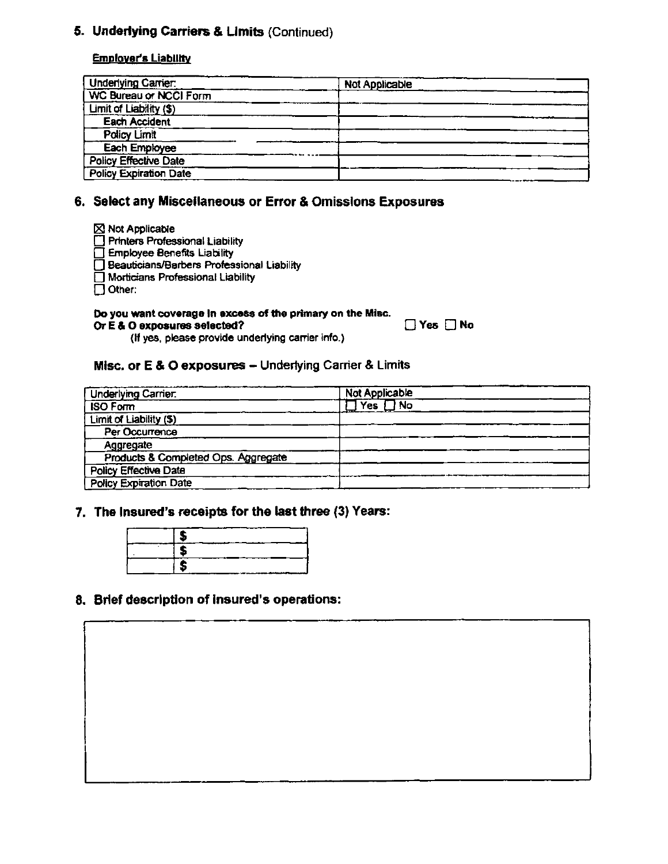# **S. Underlying Carriers & Limits (Continued)**

#### **Emniover's Liability**

| <b>Underlying Carrier:</b>    | Not Applicable |
|-------------------------------|----------------|
| <b>WC Bureau or NCCI Form</b> |                |
| Limit of Liability (\$)       |                |
| <b>Each Accident</b>          |                |
| Policy Limit                  |                |
| Each Employee                 |                |
| <b>Policy Effective Date</b>  |                |
| <b>Policy Expiration Date</b> |                |

# **6. Select any Miscellaneous or Error & Omissions Exposures**

| $\boxtimes$ Not Applicable                        |
|---------------------------------------------------|
| Printers Professional Liability                   |
| Employee Benefits Liability                       |
| <b>Beauticians/Barbers Professional Liability</b> |
| Morticians Professional Liability                 |

 $\Box$  Other:

# **Do you want coverage In excess of the primary on the Misc.**

**Or E & 0 exposures selected? Yes** El **No** 

**(ii yes,** please provide underlying carrier info.)

### **Misc. or E & 0 exposures - Underlying Carrier & Limits**

| <b>Underlying Carrier</b>           | <b>Not Applicable</b>                       |  |  |
|-------------------------------------|---------------------------------------------|--|--|
| <b>ISO Form</b>                     | $\overline{\bigcap_{\mathsf{No}}}$<br>Yes ' |  |  |
| Limit of Liability (\$)             |                                             |  |  |
| Per Occurrence                      |                                             |  |  |
| Aggregate                           |                                             |  |  |
| Products & Completed Ops. Aggregate |                                             |  |  |
| Policy Effective Date               |                                             |  |  |
| <b>Policy Expiration Date</b>       |                                             |  |  |

#### **7. The insured's receipts for the last three (3) Years:**

## **8. Brief description of insured's operations:**